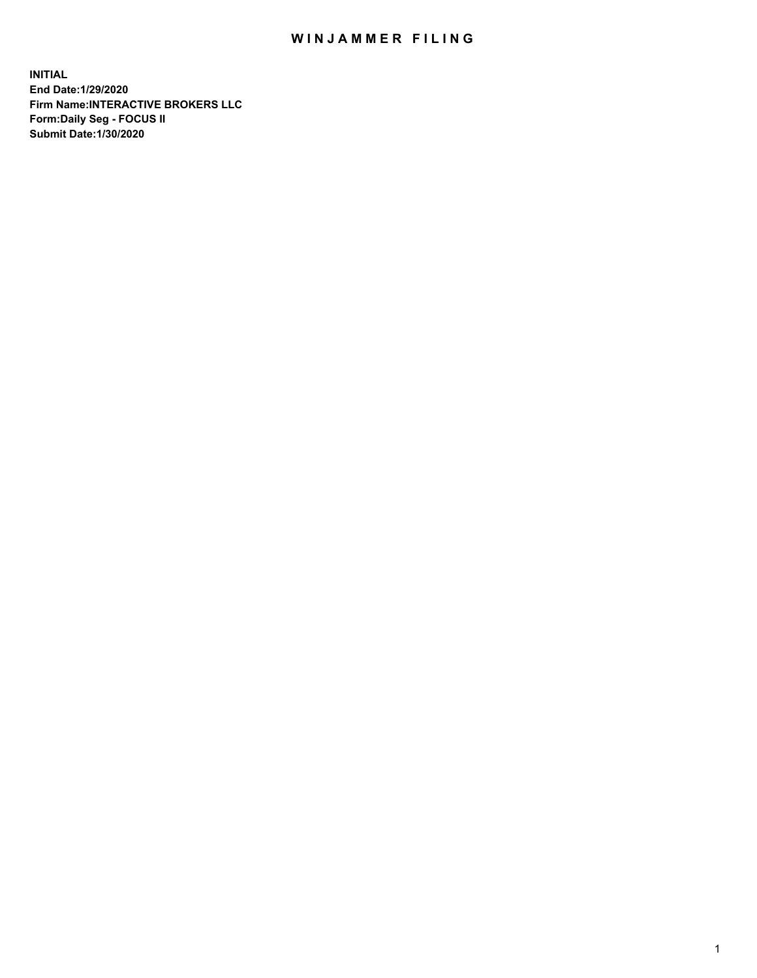## WIN JAMMER FILING

**INITIAL End Date:1/29/2020 Firm Name:INTERACTIVE BROKERS LLC Form:Daily Seg - FOCUS II Submit Date:1/30/2020**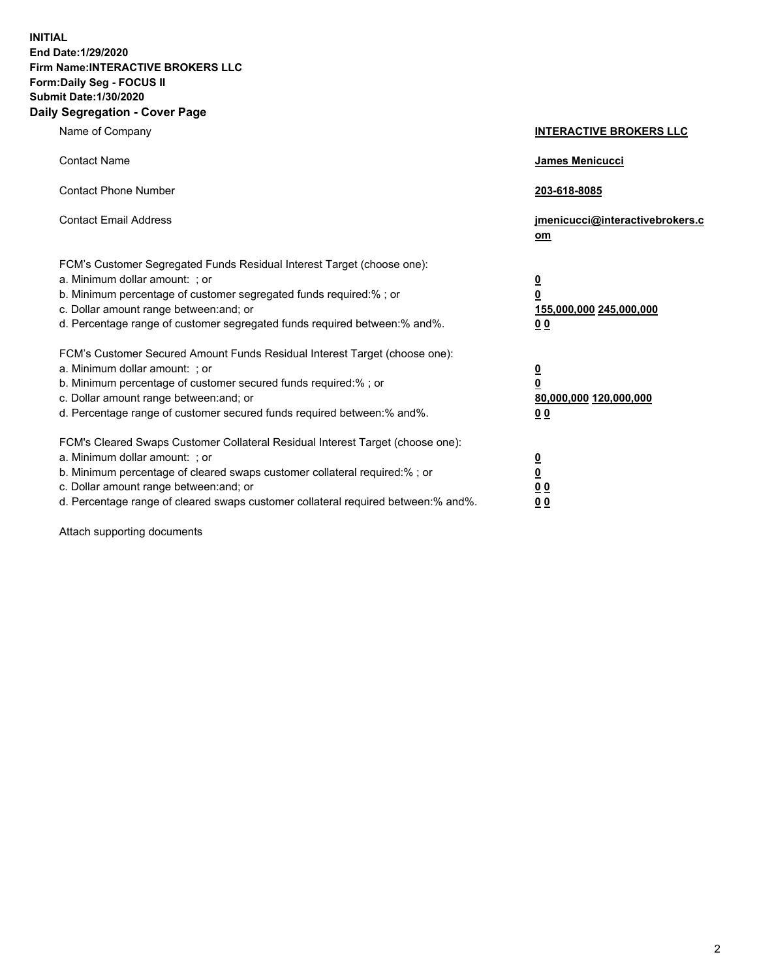**INITIAL End Date:1/29/2020 Firm Name:INTERACTIVE BROKERS LLC Form:Daily Seg - FOCUS II Submit Date:1/30/2020 Daily Segregation - Cover Page**

| Name of Company                                                                                                                                                                                                                                                                                                                 | <b>INTERACTIVE BROKERS LLC</b>                                                   |
|---------------------------------------------------------------------------------------------------------------------------------------------------------------------------------------------------------------------------------------------------------------------------------------------------------------------------------|----------------------------------------------------------------------------------|
| <b>Contact Name</b>                                                                                                                                                                                                                                                                                                             | <b>James Menicucci</b>                                                           |
| <b>Contact Phone Number</b>                                                                                                                                                                                                                                                                                                     | 203-618-8085                                                                     |
| <b>Contact Email Address</b>                                                                                                                                                                                                                                                                                                    | jmenicucci@interactivebrokers.c<br>om                                            |
| FCM's Customer Segregated Funds Residual Interest Target (choose one):<br>a. Minimum dollar amount: ; or<br>b. Minimum percentage of customer segregated funds required:% ; or<br>c. Dollar amount range between: and; or<br>d. Percentage range of customer segregated funds required between:% and%.                          | <u>0</u><br>$\overline{\mathbf{0}}$<br>155,000,000 245,000,000<br>0 <sub>0</sub> |
| FCM's Customer Secured Amount Funds Residual Interest Target (choose one):<br>a. Minimum dollar amount: ; or<br>b. Minimum percentage of customer secured funds required:%; or<br>c. Dollar amount range between: and; or<br>d. Percentage range of customer secured funds required between:% and%.                             | <u>0</u><br>$\overline{\mathbf{0}}$<br>80,000,000 120,000,000<br>0 <sub>0</sub>  |
| FCM's Cleared Swaps Customer Collateral Residual Interest Target (choose one):<br>a. Minimum dollar amount: ; or<br>b. Minimum percentage of cleared swaps customer collateral required:%; or<br>c. Dollar amount range between: and; or<br>d. Percentage range of cleared swaps customer collateral required between: % and %. | <u>0</u><br>$\underline{\mathbf{0}}$<br>0 <sub>0</sub><br>0 <sub>0</sub>         |

Attach supporting documents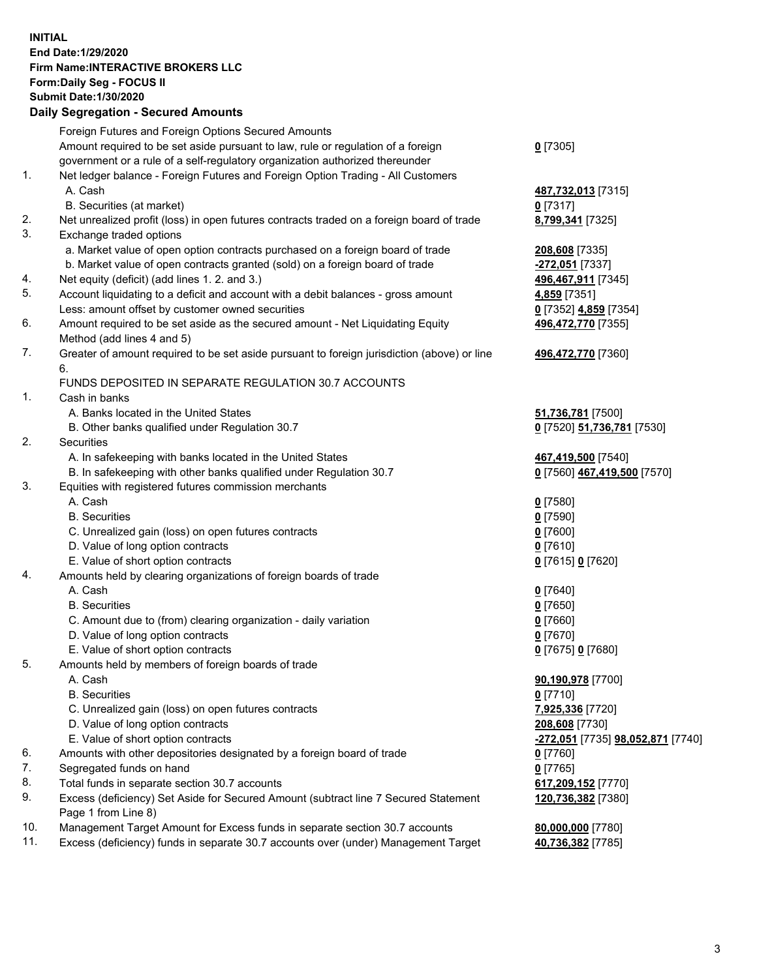**INITIAL End Date:1/29/2020 Firm Name:INTERACTIVE BROKERS LLC Form:Daily Seg - FOCUS II Submit Date:1/30/2020 Daily Segregation - Secured Amounts**

|     | Foreign Futures and Foreign Options Secured Amounts                                         |                                   |
|-----|---------------------------------------------------------------------------------------------|-----------------------------------|
|     | Amount required to be set aside pursuant to law, rule or regulation of a foreign            | $0$ [7305]                        |
|     | government or a rule of a self-regulatory organization authorized thereunder                |                                   |
| 1.  | Net ledger balance - Foreign Futures and Foreign Option Trading - All Customers             |                                   |
|     | A. Cash                                                                                     | 487,732,013 [7315]                |
|     | B. Securities (at market)                                                                   | $0$ [7317]                        |
| 2.  | Net unrealized profit (loss) in open futures contracts traded on a foreign board of trade   | 8,799,341 [7325]                  |
| 3.  | Exchange traded options                                                                     |                                   |
|     | a. Market value of open option contracts purchased on a foreign board of trade              | 208,608 [7335]                    |
|     | b. Market value of open contracts granted (sold) on a foreign board of trade                | -272,051 [7337]                   |
| 4.  | Net equity (deficit) (add lines 1. 2. and 3.)                                               | 496,467,911 [7345]                |
| 5.  | Account liquidating to a deficit and account with a debit balances - gross amount           | 4,859 [7351]                      |
|     | Less: amount offset by customer owned securities                                            | 0 [7352] 4,859 [7354]             |
| 6.  | Amount required to be set aside as the secured amount - Net Liquidating Equity              | 496,472,770 [7355]                |
|     | Method (add lines 4 and 5)                                                                  |                                   |
| 7.  | Greater of amount required to be set aside pursuant to foreign jurisdiction (above) or line | 496,472,770 [7360]                |
|     | 6.                                                                                          |                                   |
|     | FUNDS DEPOSITED IN SEPARATE REGULATION 30.7 ACCOUNTS                                        |                                   |
| 1.  | Cash in banks                                                                               |                                   |
|     | A. Banks located in the United States                                                       | 51,736,781 [7500]                 |
|     | B. Other banks qualified under Regulation 30.7                                              | 0 [7520] 51,736,781 [7530]        |
| 2.  | Securities                                                                                  |                                   |
|     | A. In safekeeping with banks located in the United States                                   | 467,419,500 [7540]                |
|     | B. In safekeeping with other banks qualified under Regulation 30.7                          | 0 [7560] 467,419,500 [7570]       |
| 3.  | Equities with registered futures commission merchants                                       |                                   |
|     | A. Cash                                                                                     | $0$ [7580]                        |
|     | <b>B.</b> Securities                                                                        | $0$ [7590]                        |
|     | C. Unrealized gain (loss) on open futures contracts                                         | $0$ [7600]                        |
|     | D. Value of long option contracts                                                           | $0$ [7610]                        |
|     | E. Value of short option contracts                                                          | 0 [7615] 0 [7620]                 |
| 4.  | Amounts held by clearing organizations of foreign boards of trade                           |                                   |
|     | A. Cash                                                                                     | $0$ [7640]                        |
|     | <b>B.</b> Securities                                                                        | $0$ [7650]                        |
|     | C. Amount due to (from) clearing organization - daily variation                             | $0$ [7660]                        |
|     | D. Value of long option contracts                                                           | $0$ [7670]                        |
|     | E. Value of short option contracts                                                          | 0 [7675] 0 [7680]                 |
| 5.  | Amounts held by members of foreign boards of trade                                          |                                   |
|     | A. Cash                                                                                     | 90,190,978 [7700]                 |
|     | <b>B.</b> Securities                                                                        | $0$ [7710]                        |
|     | C. Unrealized gain (loss) on open futures contracts                                         | 7,925,336 [7720]                  |
|     | D. Value of long option contracts                                                           | 208,608 [7730]                    |
|     | E. Value of short option contracts                                                          | -272,051 [7735] 98,052,871 [7740] |
| 6.  | Amounts with other depositories designated by a foreign board of trade                      | $0$ [7760]                        |
| 7.  | Segregated funds on hand                                                                    | $0$ [7765]                        |
| 8.  | Total funds in separate section 30.7 accounts                                               | 617,209,152 [7770]                |
| 9.  | Excess (deficiency) Set Aside for Secured Amount (subtract line 7 Secured Statement         | 120,736,382 [7380]                |
|     | Page 1 from Line 8)                                                                         |                                   |
| 10. | Management Target Amount for Excess funds in separate section 30.7 accounts                 | 80,000,000 [7780]                 |
| 11. | Excess (deficiency) funds in separate 30.7 accounts over (under) Management Target          | 40,736,382 [7785]                 |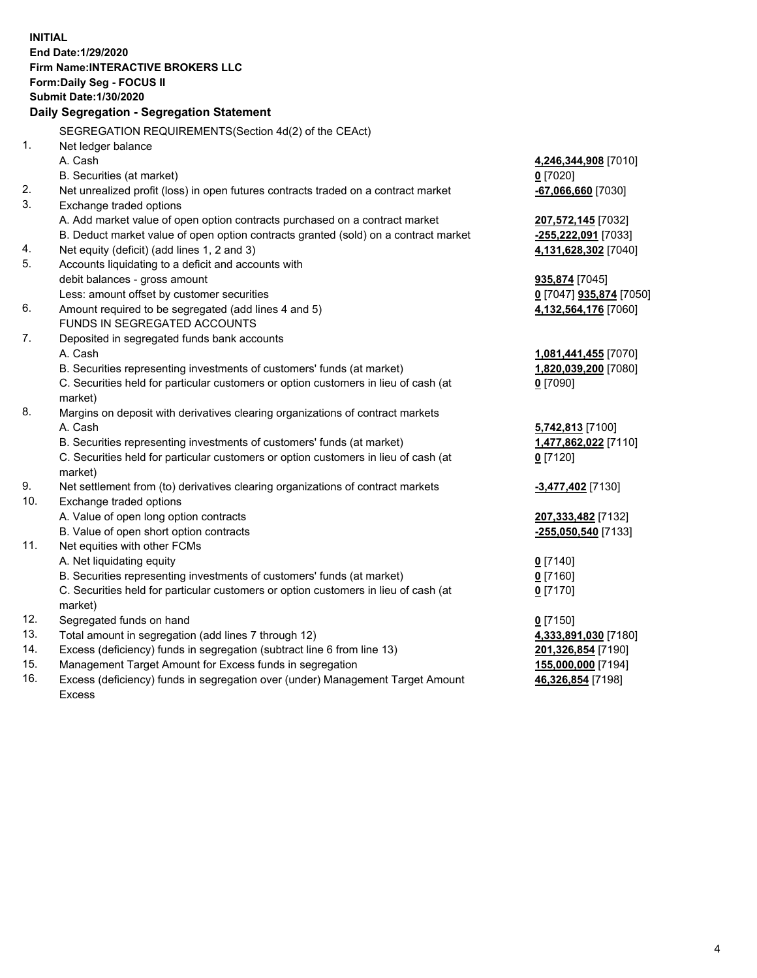**INITIAL End Date:1/29/2020 Firm Name:INTERACTIVE BROKERS LLC Form:Daily Seg - FOCUS II Submit Date:1/30/2020 Daily Segregation - Segregation Statement** SEGREGATION REQUIREMENTS(Section 4d(2) of the CEAct) 1. Net ledger balance A. Cash **4,246,344,908** [7010] B. Securities (at market) **0** [7020] 2. Net unrealized profit (loss) in open futures contracts traded on a contract market **-67,066,660** [7030] 3. Exchange traded options A. Add market value of open option contracts purchased on a contract market **207,572,145** [7032] B. Deduct market value of open option contracts granted (sold) on a contract market **-255,222,091** [7033] 4. Net equity (deficit) (add lines 1, 2 and 3) **4,131,628,302** [7040] 5. Accounts liquidating to a deficit and accounts with debit balances - gross amount **935,874** [7045] Less: amount offset by customer securities **0** [7047] **935,874** [7050] 6. Amount required to be segregated (add lines 4 and 5) **4,132,564,176** [7060] FUNDS IN SEGREGATED ACCOUNTS 7. Deposited in segregated funds bank accounts A. Cash **1,081,441,455** [7070] B. Securities representing investments of customers' funds (at market) **1,820,039,200** [7080] C. Securities held for particular customers or option customers in lieu of cash (at market) **0** [7090] 8. Margins on deposit with derivatives clearing organizations of contract markets A. Cash **5,742,813** [7100] B. Securities representing investments of customers' funds (at market) **1,477,862,022** [7110] C. Securities held for particular customers or option customers in lieu of cash (at market) **0** [7120] 9. Net settlement from (to) derivatives clearing organizations of contract markets **-3,477,402** [7130] 10. Exchange traded options A. Value of open long option contracts **207,333,482** [7132] B. Value of open short option contracts **-255,050,540** [7133] 11. Net equities with other FCMs A. Net liquidating equity **0** [7140] B. Securities representing investments of customers' funds (at market) **0** [7160] C. Securities held for particular customers or option customers in lieu of cash (at market) **0** [7170] 12. Segregated funds on hand **0** [7150] 13. Total amount in segregation (add lines 7 through 12) **4,333,891,030** [7180] 14. Excess (deficiency) funds in segregation (subtract line 6 from line 13) **201,326,854** [7190] 15. Management Target Amount for Excess funds in segregation **155,000,000** [7194] **46,326,854** [7198]

16. Excess (deficiency) funds in segregation over (under) Management Target Amount Excess